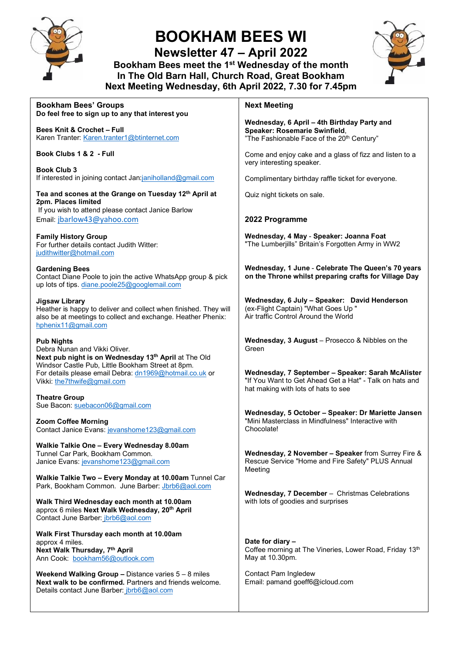

# **BOOKHAM BEES WI**

**Newsletter 47 – April 2022** 

**Bookham Bees meet the 1st Wednesday of the month In The Old Barn Hall, Church Road, Great Bookham Next Meeting Wednesday, 6th April 2022, 7.30 for 7.45pm**



| <b>Bookham Bees' Groups</b><br>Do feel free to sign up to any that interest you                                                                                                   | <b>Next Meeting</b>                                                                                                                                 |
|-----------------------------------------------------------------------------------------------------------------------------------------------------------------------------------|-----------------------------------------------------------------------------------------------------------------------------------------------------|
| <b>Bees Knit &amp; Crochet - Full</b><br>Karen Tranter: Karen.tranter1@btinternet.com                                                                                             | Wednesday, 6 April - 4th Birthday Party and<br>Speaker: Rosemarie Swinfield,<br>"The Fashionable Face of the 20 <sup>th</sup> Century"              |
| Book Clubs 1 & 2 - Full                                                                                                                                                           | Come and enjoy cake and a glass of fizz and listen to a<br>very interesting speaker.                                                                |
| <b>Book Club 3</b><br>If interested in joining contact Jan:janiholland@gmail.com                                                                                                  | Complimentary birthday raffle ticket for everyone.                                                                                                  |
| Tea and scones at the Grange on Tuesday 12 <sup>th</sup> April at<br>2pm. Places limited                                                                                          | Quiz night tickets on sale.                                                                                                                         |
| If you wish to attend please contact Janice Barlow<br>Email: jbarlow43@yahoo.com                                                                                                  | 2022 Programme                                                                                                                                      |
| <b>Family History Group</b><br>For further details contact Judith Witter:<br>judithwitter@hotmail.com                                                                             | Wednesday, 4 May - Speaker: Joanna Foat<br>"The Lumberjills" Britain's Forgotten Army in WW2                                                        |
| <b>Gardening Bees</b><br>Contact Diane Poole to join the active WhatsApp group & pick<br>up lots of tips. diane.poole25@googlemail.com                                            | Wednesday, 1 June - Celebrate The Queen's 70 years<br>on the Throne whilst preparing crafts for Village Day                                         |
| <b>Jigsaw Library</b><br>Heather is happy to deliver and collect when finished. They will<br>also be at meetings to collect and exchange. Heather Phenix:<br>hphenix11@gmail.com  | Wednesday, 6 July - Speaker: David Henderson<br>(ex-Flight Captain) "What Goes Up "<br>Air traffic Control Around the World                         |
| <b>Pub Nights</b><br>Debra Nunan and Vikki Oliver.<br>Next pub night is on Wednesday 13th April at The Old                                                                        | Wednesday, 3 August - Prosecco & Nibbles on the<br>Green                                                                                            |
| Windsor Castle Pub, Little Bookham Street at 8pm.<br>For details please email Debra: dn1969@hotmail.co.uk or<br>Vikki: the7thwife@gmail.com                                       | Wednesday, 7 September - Speaker: Sarah McAlister<br>"If You Want to Get Ahead Get a Hat" - Talk on hats and<br>hat making with lots of hats to see |
| <b>Theatre Group</b><br>Sue Bacon: suebacon06@gmail.com                                                                                                                           | Wednesday, 5 October - Speaker: Dr Mariette Jansen                                                                                                  |
| <b>Zoom Coffee Morning</b><br>Contact Janice Evans: jevanshome123@gmail.com                                                                                                       | "Mini Masterclass in Mindfulness" Interactive with<br>Chocolate!                                                                                    |
| Walkie Talkie One - Every Wednesday 8.00am<br>Tunnel Car Park, Bookham Common.<br>Janice Evans: jevanshome123@gmail.com                                                           | Wednesday, 2 November - Speaker from Surrey Fire &<br>Rescue Service "Home and Fire Safety" PLUS Annual<br>Meeting                                  |
| Walkie Talkie Two - Every Monday at 10.00am Tunnel Car<br>Park, Bookham Common. June Barber: Jbrb6@aol.com                                                                        | Wednesday, 7 December - Christmas Celebrations                                                                                                      |
| Walk Third Wednesday each month at 10.00am<br>approx 6 miles Next Walk Wednesday, 20 <sup>th</sup> April<br>Contact June Barber: jbrb6@aol.com                                    | with lots of goodies and surprises                                                                                                                  |
| Walk First Thursday each month at 10.00am<br>approx 4 miles.<br>Next Walk Thursday, 7th April<br>Ann Cook: bookham56@outlook.com                                                  | Date for diary -<br>Coffee morning at The Vineries, Lower Road, Friday 13th<br>May at 10.30pm.                                                      |
| <b>Weekend Walking Group - Distance varies <math>5 - 8</math> miles</b><br>Next walk to be confirmed. Partners and friends welcome.<br>Details contact June Barber: jbrb6@aol.com | Contact Pam Ingledew<br>Email: pamand goeff6@icloud.com                                                                                             |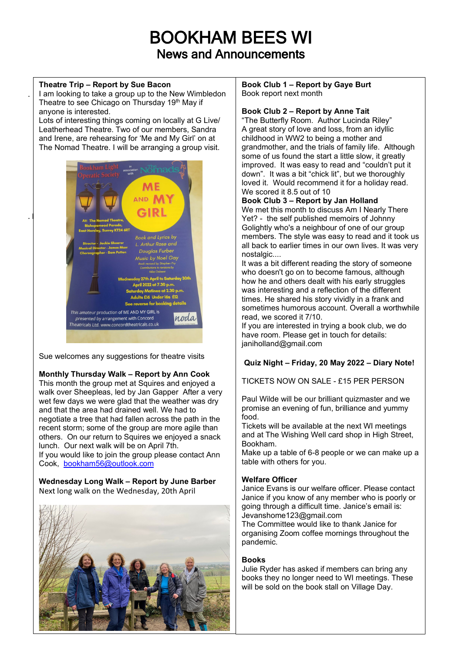# BOOKHAM BEES WI News and Announcements

### **Theatre Trip – Report by Sue Bacon**

.

I am looking to take a group up to the New Wimbledon Theatre to see Chicago on Thursday 19<sup>th</sup> May if anyone is interested.

Lots of interesting things coming on locally at G Live/ Leatherhead Theatre. Two of our members, Sandra and Irene, are rehearsing for 'Me and My Girl' on at The Nomad Theatre. I will be arranging a group visit.



Sue welcomes any suggestions for theatre visits

# **Monthly Thursday Walk – Report by Ann Cook**

This month the group met at Squires and enjoyed a walk over Sheepleas, led by Jan Gapper After a very wet few days we were glad that the weather was dry and that the area had drained well. We had to negotiate a tree that had fallen across the path in the recent storm; some of the group are more agile than others. On our return to Squires we enjoyed a snack lunch. Our next walk will be on April 7th.

If you would like to join the group please contact Ann Cook, [bookham56@outlook.com](mailto:bookham56@outlook.com)

**Wednesday Long Walk – Report by June Barber** Next long walk on the Wednesday, 20th April



**Book Club 1 – Report by Gaye Burt** Book report next month

### **Book Club 2 – Report by Anne Tait**

"The Butterfly Room. Author Lucinda Riley" A great story of love and loss, from an idyllic childhood in WW2 to being a mother and grandmother, and the trials of family life. Although some of us found the start a little slow, it greatly improved. It was easy to read and "couldn't put it down". It was a bit "chick lit", but we thoroughly loved it. Would recommend it for a holiday read. We scored it 8.5 out of 10

# **Book Club 3 – Report by Jan Holland**

We met this month to discuss Am I Nearly There Yet? - the self published memoirs of Johnny Golightly who's a neighbour of one of our group members. The style was easy to read and it took us all back to earlier times in our own lives. It was very nostalgic....

It was a bit different reading the story of someone who doesn't go on to become famous, although how he and others dealt with his early struggles was interesting and a reflection of the different times. He shared his story vividly in a frank and sometimes humorous account. Overall a worthwhile read, we scored it 7/10.

If you are interested in trying a book club, we do have room. Please get in touch for details: janiholland@gmail.com

# **Quiz Night – Friday, 20 May 2022 – Diary Note!**

TICKETS NOW ON SALE - £15 PER PERSON

Paul Wilde will be our brilliant quizmaster and we promise an evening of fun, brilliance and yummy food.

Tickets will be available at the next WI meetings and at The Wishing Well card shop in High Street, Bookham.

Make up a table of 6-8 people or we can make up a table with others for you.

# **Welfare Officer**

Janice Evans is our welfare officer. Please contact Janice if you know of any member who is poorly or going through a difficult time. Janice's email is: Jevanshome123@gmail.com

The Committee would like to thank Janice for organising Zoom coffee mornings throughout the pandemic.

# **Books**

Julie Ryder has asked if members can bring any books they no longer need to WI meetings. These will be sold on the book stall on Village Day.